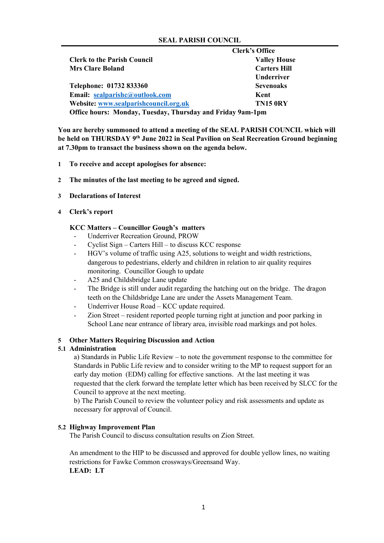## **SEAL PARISH COUNCIL**

|                                                                   | <b>Clerk's Office</b> |
|-------------------------------------------------------------------|-----------------------|
| <b>Clerk to the Parish Council</b>                                | <b>Valley House</b>   |
| <b>Mrs Clare Boland</b>                                           | <b>Carters Hill</b>   |
|                                                                   | <b>Underriver</b>     |
| Telephone: 01732 833360                                           | <b>Sevenoaks</b>      |
| Email: sealparishc@outlook.com                                    | Kent                  |
| Website: www.sealparishcouncil.org.uk                             | <b>TN15 0RY</b>       |
| <b>Office hours: Monday, Tuesday, Thursday and Friday 9am-1pm</b> |                       |

**You are hereby summoned to attend a meeting of the SEAL PARISH COUNCIL which will**  be held on THURSDAY 9<sup>th</sup> June 2022 in Seal Pavilion on Seal Recreation Ground beginning **at 7.30pm to transact the business shown on the agenda below.**

- **1 To receive and accept apologises for absence:**
- **2 The minutes of the last meeting to be agreed and signed.**
- **3 Declarations of Interest**
- **4 Clerk's report**

# **KCC Matters – Councillor Gough's matters**

- Underriver Recreation Ground, PROW
- Cyclist Sign Carters Hill to discuss KCC response
- HGV's volume of traffic using A25, solutions to weight and width restrictions, dangerous to pedestrians, elderly and children in relation to air quality requires monitoring. Councillor Gough to update
- A25 and Childsbridge Lane update
- The Bridge is still under audit regarding the hatching out on the bridge. The dragon teeth on the Childsbridge Lane are under the Assets Management Team.
- Underriver House Road KCC update required.
- Zion Street resident reported people turning right at junction and poor parking in School Lane near entrance of library area, invisible road markings and pot holes.

## **5 Other Matters Requiring Discussion and Action**

## **5.1 Administration**

a) Standards in Public Life Review – to note the government response to the committee for Standards in Public Life review and to consider writing to the MP to request support for an early day motion (EDM) calling for effective sanctions. At the last meeting it was requested that the clerk forward the template letter which has been received by SLCC for the Council to approve at the next meeting.

b) The Parish Council to review the volunteer policy and risk assessments and update as necessary for approval of Council.

## **5.2 Highway Improvement Plan**

The Parish Council to discuss consultation results on Zion Street.

An amendment to the HIP to be discussed and approved for double yellow lines, no waiting restrictions for Fawke Common crossways/Greensand Way. **LEAD: LT**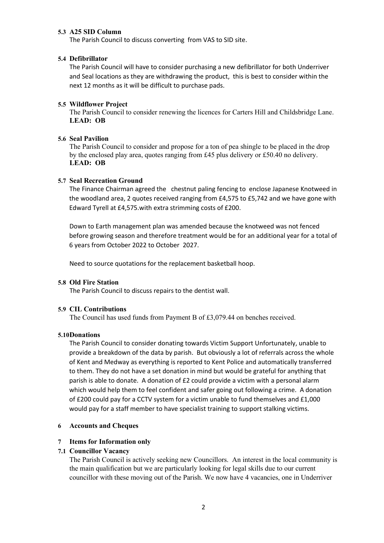# **5.3 A25 SID Column**

The Parish Council to discuss converting from VAS to SID site.

## **5.4 Defibrillator**

The Parish Council will have to consider purchasing a new defibrillator for both Underriver and Seal locations as they are withdrawing the product, this is best to consider within the next 12 months as it will be difficult to purchase pads.

### **5.5 Wildflower Project**

The Parish Council to consider renewing the licences for Carters Hill and Childsbridge Lane. **LEAD: OB**

### **5.6 Seal Pavilion**

The Parish Council to consider and propose for a ton of pea shingle to be placed in the drop by the enclosed play area, quotes ranging from  $£45$  plus delivery or £50.40 no delivery. **LEAD: OB**

### **5.7 Seal Recreation Ground**

The Finance Chairman agreed the chestnut paling fencing to enclose Japanese Knotweed in the woodland area, 2 quotes received ranging from £4,575 to £5,742 and we have gone with Edward Tyrell at £4,575.with extra strimming costs of £200.

Down to Earth management plan was amended because the knotweed was not fenced before growing season and therefore treatment would be for an additional year for a total of 6 years from October 2022 to October 2027.

Need to source quotations for the replacement basketball hoop.

#### **5.8 Old Fire Station**

The Parish Council to discuss repairs to the dentist wall.

#### **5.9 CIL Contributions**

The Council has used funds from Payment B of £3,079.44 on benches received.

#### **5.10Donations**

The Parish Council to consider donating towards Victim Support Unfortunately, unable to provide a breakdown of the data by parish. But obviously a lot of referrals across the whole of Kent and Medway as everything is reported to Kent Police and automatically transferred to them. They do not have a set donation in mind but would be grateful for anything that parish is able to donate. A donation of £2 could provide a victim with a personal alarm which would help them to feel confident and safer going out following a crime. A donation of £200 could pay for a CCTV system for a victim unable to fund themselves and £1,000 would pay for a staff member to have specialist training to support stalking victims.

### **6 Accounts and Cheques**

## **7 Items for Information only**

## **7.1 Councillor Vacancy**

The Parish Council is actively seeking new Councillors. An interest in the local community is the main qualification but we are particularly looking for legal skills due to our current councillor with these moving out of the Parish. We now have 4 vacancies, one in Underriver